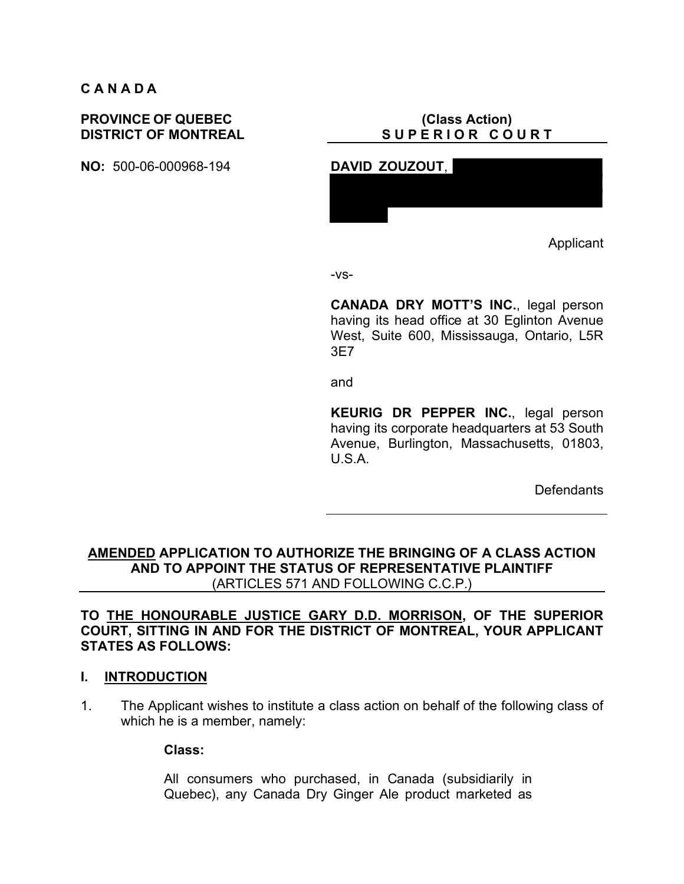# **C A N A D A**

# **PROVINCE OF QUEBEC DISTRICT OF MONTREAL**

**NO:** 500-06-000968-194 **DAVID ZOUZOUT**,

# **(Class Action)** SUPERIOR COURT



Applicant

-vs-

**CANADA DRY MOTT'S INC.**, legal person having its head office at 30 Eglinton Avenue West, Suite 600, Mississauga, Ontario, L5R 3E7

and

**KEURIG DR PEPPER INC.**, legal person having its corporate headquarters at 53 South Avenue, Burlington, Massachusetts, 01803, U.S.A.

**Defendants** 

**AMENDED APPLICATION TO AUTHORIZE THE BRINGING OF A CLASS ACTION AND TO APPOINT THE STATUS OF REPRESENTATIVE PLAINTIFF** (ARTICLES 571 AND FOLLOWING C.C.P.)

# **TO THE HONOURABLE JUSTICE GARY D.D. MORRISON, OF THE SUPERIOR COURT, SITTING IN AND FOR THE DISTRICT OF MONTREAL, YOUR APPLICANT STATES AS FOLLOWS:**

# **I. INTRODUCTION**

1. The Applicant wishes to institute a class action on behalf of the following class of which he is a member, namely:

**Class:**

All consumers who purchased, in Canada (subsidiarily in Quebec), any Canada Dry Ginger Ale product marketed as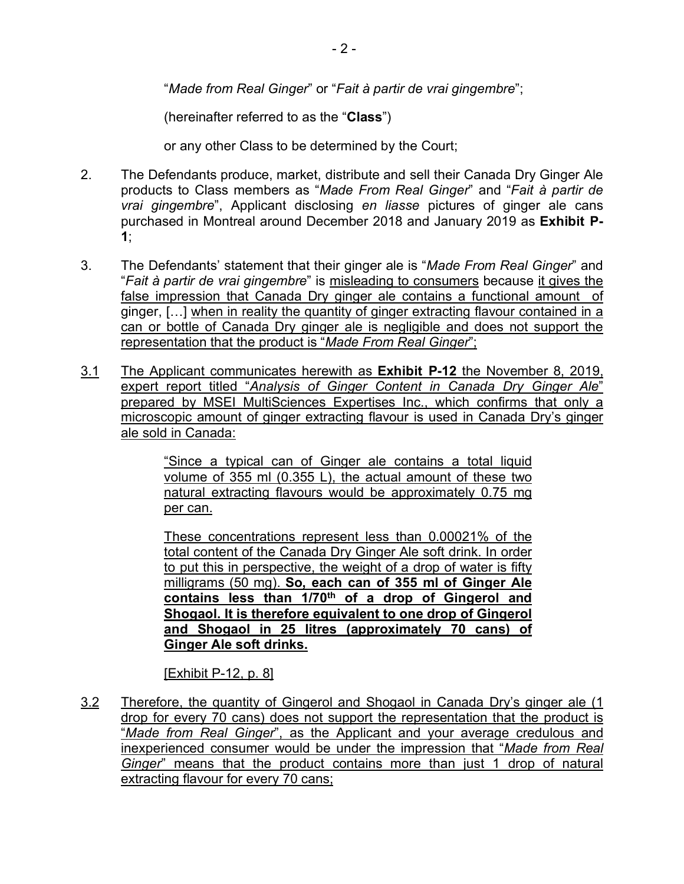$-2-$ 

"*Made from Real Ginger*" or "*Fait à partir de vrai gingembre*";

(hereinafter referred to as the "**Class**")

or any other Class to be determined by the Court;

- 2. The Defendants produce, market, distribute and sell their Canada Dry Ginger Ale products to Class members as "*Made From Real Ginger*" and "*Fait à partir de vrai gingembre*", Applicant disclosing *en liasse* pictures of ginger ale cans purchased in Montreal around December 2018 and January 2019 as **Exhibit P-1**;
- 3. The Defendants' statement that their ginger ale is "*Made From Real Ginger*" and "*Fait à partir de vrai gingembre*" is misleading to consumers because it gives the false impression that Canada Dry ginger ale contains a functional amount of ginger, […] when in reality the quantity of ginger extracting flavour contained in a can or bottle of Canada Dry ginger ale is negligible and does not support the representation that the product is "*Made From Real Ginger*";
- 3.1 The Applicant communicates herewith as **Exhibit P-12** the November 8, 2019, expert report titled "*Analysis of Ginger Content in Canada Dry Ginger Ale*" prepared by MSEI MultiSciences Expertises Inc., which confirms that only a microscopic amount of ginger extracting flavour is used in Canada Dry's ginger ale sold in Canada:

"Since a typical can of Ginger ale contains a total liquid volume of 355 ml (0.355 L), the actual amount of these two natural extracting flavours would be approximately 0.75 mg per can.

These concentrations represent less than 0.00021% of the total content of the Canada Dry Ginger Ale soft drink. In order to put this in perspective, the weight of a drop of water is fifty milligrams (50 mg). **So, each can of 355 ml of Ginger Ale contains less than 1/70th of a drop of Gingerol and Shogaol. It is therefore equivalent to one drop of Gingerol and Shogaol in 25 litres (approximately 70 cans) of Ginger Ale soft drinks.**

[Exhibit P-12, p. 8]

3.2 Therefore, the quantity of Gingerol and Shogaol in Canada Dry's ginger ale (1 drop for every 70 cans) does not support the representation that the product is "*Made from Real Ginger*", as the Applicant and your average credulous and inexperienced consumer would be under the impression that "*Made from Real Ginger*" means that the product contains more than just 1 drop of natural extracting flavour for every 70 cans;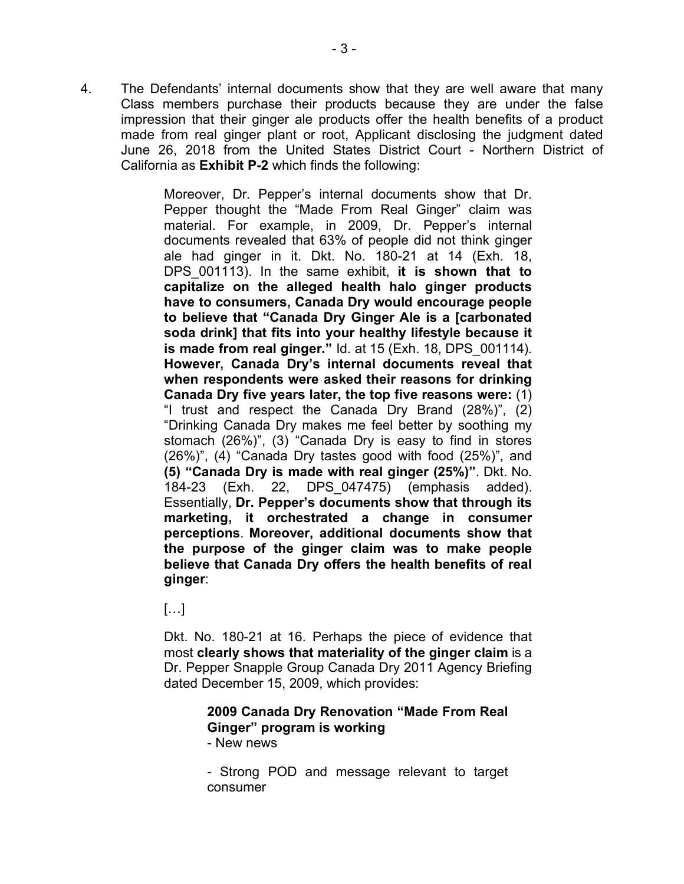4. The Defendants' internal documents show that they are well aware that many Class members purchase their products because they are under the false impression that their ginger ale products offer the health benefits of a product made from real ginger plant or root, Applicant disclosing the judgment dated June 26, 2018 from the United States District Court - Northern District of California as **Exhibit P-2** which finds the following:

> Moreover, Dr. Pepper's internal documents show that Dr. Pepper thought the "Made From Real Ginger" claim was material. For example, in 2009, Dr. Pepper's internal documents revealed that 63% of people did not think ginger ale had ginger in it. Dkt. No. 180-21 at 14 (Exh. 18, DPS\_001113). In the same exhibit, **it is shown that to capitalize on the alleged health halo ginger products have to consumers, Canada Dry would encourage people to believe that "Canada Dry Ginger Ale is a [carbonated soda drink] that fits into your healthy lifestyle because it is made from real ginger."** Id. at 15 (Exh. 18, DPS\_001114). **However, Canada Dry's internal documents reveal that when respondents were asked their reasons for drinking Canada Dry five years later, the top five reasons were:** (1) "I trust and respect the Canada Dry Brand (28%)", (2) "Drinking Canada Dry makes me feel better by soothing my stomach (26%)", (3) "Canada Dry is easy to find in stores (26%)", (4) "Canada Dry tastes good with food (25%)", and **(5) "Canada Dry is made with real ginger (25%)"**. Dkt. No. 184-23 (Exh. 22, DPS\_047475) (emphasis added). Essentially, **Dr. Pepper's documents show that through its marketing, it orchestrated a change in consumer perceptions**. **Moreover, additional documents show that the purpose of the ginger claim was to make people believe that Canada Dry offers the health benefits of real ginger**:

 $[...]$ 

Dkt. No. 180-21 at 16. Perhaps the piece of evidence that most **clearly shows that materiality of the ginger claim** is a Dr. Pepper Snapple Group Canada Dry 2011 Agency Briefing dated December 15, 2009, which provides:

# **2009 Canada Dry Renovation "Made From Real Ginger" program is working**

- New news

- Strong POD and message relevant to target consumer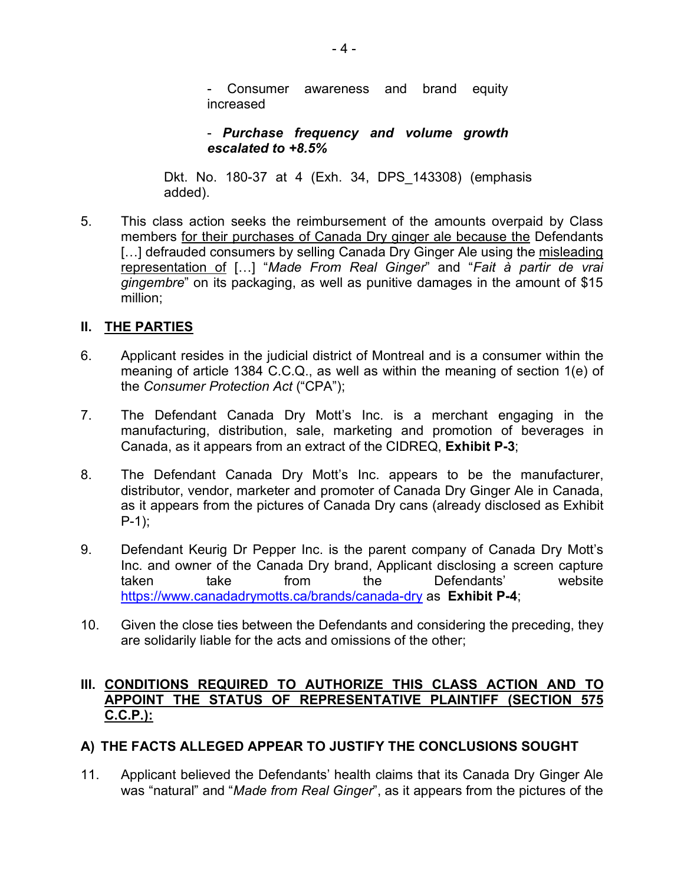Consumer awareness and brand equity increased

- *Purchase frequency and volume growth escalated to +8.5%*

Dkt. No. 180-37 at 4 (Exh. 34, DPS\_143308) (emphasis added).

5. This class action seeks the reimbursement of the amounts overpaid by Class members for their purchases of Canada Dry ginger ale because the Defendants [...] defrauded consumers by selling Canada Dry Ginger Ale using the misleading representation of […] "*Made From Real Ginger*" and "*Fait à partir de vrai gingembre*" on its packaging, as well as punitive damages in the amount of \$15 million;

# **II. THE PARTIES**

- 6. Applicant resides in the judicial district of Montreal and is a consumer within the meaning of article 1384 C.C.Q., as well as within the meaning of section 1(e) of the *Consumer Protection Act* ("CPA");
- 7. The Defendant Canada Dry Mott's Inc. is a merchant engaging in the manufacturing, distribution, sale, marketing and promotion of beverages in Canada, as it appears from an extract of the CIDREQ, **Exhibit P-3**;
- 8. The Defendant Canada Dry Mott's Inc. appears to be the manufacturer, distributor, vendor, marketer and promoter of Canada Dry Ginger Ale in Canada, as it appears from the pictures of Canada Dry cans (already disclosed as Exhibit  $P-1$ );
- 9. Defendant Keurig Dr Pepper Inc. is the parent company of Canada Dry Mott's Inc. and owner of the Canada Dry brand, Applicant disclosing a screen capture taken take from the Defendants' website https://www.canadadrymotts.ca/brands/canada-dry as **Exhibit P-4**;
- 10. Given the close ties between the Defendants and considering the preceding, they are solidarily liable for the acts and omissions of the other;

# **III. CONDITIONS REQUIRED TO AUTHORIZE THIS CLASS ACTION AND TO APPOINT THE STATUS OF REPRESENTATIVE PLAINTIFF (SECTION 575 C.C.P.):**

# **A) THE FACTS ALLEGED APPEAR TO JUSTIFY THE CONCLUSIONS SOUGHT**

11. Applicant believed the Defendants' health claims that its Canada Dry Ginger Ale was "natural" and "*Made from Real Ginger*", as it appears from the pictures of the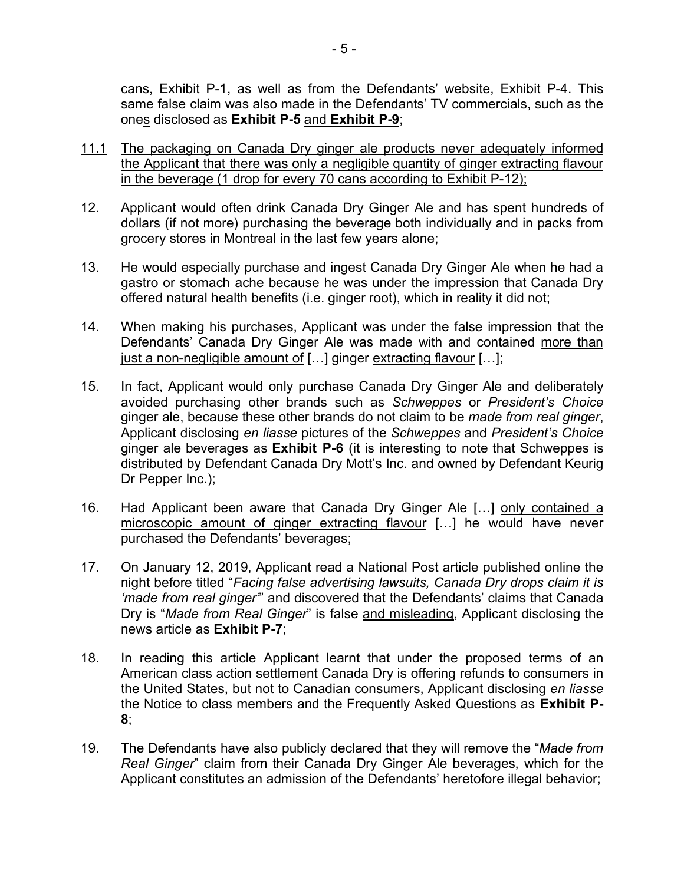cans, Exhibit P-1, as well as from the Defendants' website, Exhibit P-4. This same false claim was also made in the Defendants' TV commercials, such as the ones disclosed as **Exhibit P-5** and **Exhibit P-9**;

- 11.1 The packaging on Canada Dry ginger ale products never adequately informed the Applicant that there was only a negligible quantity of ginger extracting flavour in the beverage (1 drop for every 70 cans according to Exhibit P-12);
- 12. Applicant would often drink Canada Dry Ginger Ale and has spent hundreds of dollars (if not more) purchasing the beverage both individually and in packs from grocery stores in Montreal in the last few years alone;
- 13. He would especially purchase and ingest Canada Dry Ginger Ale when he had a gastro or stomach ache because he was under the impression that Canada Dry offered natural health benefits (i.e. ginger root), which in reality it did not;
- 14. When making his purchases, Applicant was under the false impression that the Defendants' Canada Dry Ginger Ale was made with and contained more than just a non-negligible amount of […] ginger extracting flavour […];
- 15. In fact, Applicant would only purchase Canada Dry Ginger Ale and deliberately avoided purchasing other brands such as *Schweppes* or *President's Choice* ginger ale, because these other brands do not claim to be *made from real ginger*, Applicant disclosing *en liasse* pictures of the *Schweppes* and *President's Choice* ginger ale beverages as **Exhibit P-6** (it is interesting to note that Schweppes is distributed by Defendant Canada Dry Mott's Inc. and owned by Defendant Keurig Dr Pepper Inc.);
- 16. Had Applicant been aware that Canada Dry Ginger Ale [...] only contained a microscopic amount of ginger extracting flavour […] he would have never purchased the Defendants' beverages;
- 17. On January 12, 2019, Applicant read a National Post article published online the night before titled "*Facing false advertising lawsuits, Canada Dry drops claim it is 'made from real ginger'*" and discovered that the Defendants' claims that Canada Dry is "*Made from Real Ginger*" is false and misleading, Applicant disclosing the news article as **Exhibit P-7**;
- 18. In reading this article Applicant learnt that under the proposed terms of an American class action settlement Canada Dry is offering refunds to consumers in the United States, but not to Canadian consumers, Applicant disclosing *en liasse* the Notice to class members and the Frequently Asked Questions as **Exhibit P-8**;
- 19. The Defendants have also publicly declared that they will remove the "*Made from Real Ginger*" claim from their Canada Dry Ginger Ale beverages, which for the Applicant constitutes an admission of the Defendants' heretofore illegal behavior;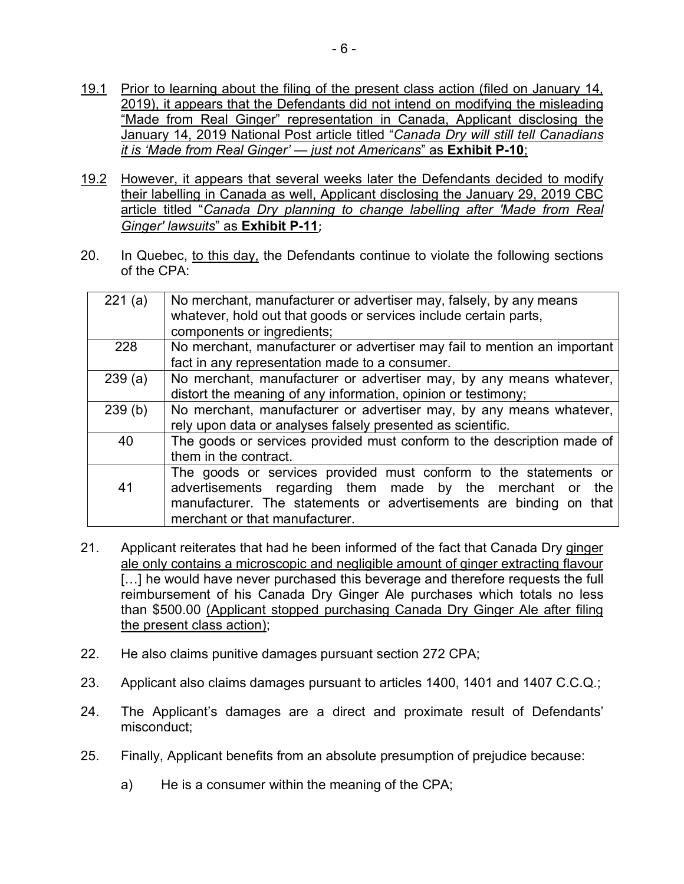- 19.1 Prior to learning about the filing of the present class action (filed on January 14, 2019), it appears that the Defendants did not intend on modifying the misleading "Made from Real Ginger" representation in Canada, Applicant disclosing the January 14, 2019 National Post article titled "*Canada Dry will still tell Canadians it is 'Made from Real Ginger' — just not Americans*" as **Exhibit P-10**;
- 19.2 However, it appears that several weeks later the Defendants decided to modify their labelling in Canada as well, Applicant disclosing the January 29, 2019 CBC article titled "*Canada Dry planning to change labelling after 'Made from Real Ginger' lawsuits*" as **Exhibit P-11**;
- 20. In Quebec, to this day, the Defendants continue to violate the following sections of the CPA:

| 221(a)<br>No merchant, manufacturer or advertiser may, falsely, by any means    |     |
|---------------------------------------------------------------------------------|-----|
|                                                                                 |     |
| whatever, hold out that goods or services include certain parts,                |     |
| components or ingredients;                                                      |     |
| 228<br>No merchant, manufacturer or advertiser may fail to mention an important |     |
| fact in any representation made to a consumer.                                  |     |
| No merchant, manufacturer or advertiser may, by any means whatever,<br>239(a)   |     |
| distort the meaning of any information, opinion or testimony;                   |     |
| No merchant, manufacturer or advertiser may, by any means whatever,<br>239(b)   |     |
| rely upon data or analyses falsely presented as scientific.                     |     |
| The goods or services provided must conform to the description made of<br>40    |     |
| them in the contract.                                                           |     |
| The goods or services provided must conform to the statements or                |     |
| advertisements regarding them made by the merchant or<br>41                     | the |
| manufacturer. The statements or advertisements are binding on that              |     |
| merchant or that manufacturer.                                                  |     |

- 21. Applicant reiterates that had he been informed of the fact that Canada Dry ginger ale only contains a microscopic and negligible amount of ginger extracting flavour [...] he would have never purchased this beverage and therefore requests the full reimbursement of his Canada Dry Ginger Ale purchases which totals no less than \$500.00 (Applicant stopped purchasing Canada Dry Ginger Ale after filing the present class action);
- 22. He also claims punitive damages pursuant section 272 CPA;
- 23. Applicant also claims damages pursuant to articles 1400, 1401 and 1407 C.C.Q.;
- 24. The Applicant's damages are a direct and proximate result of Defendants' misconduct;
- 25. Finally, Applicant benefits from an absolute presumption of prejudice because:
	- a) He is a consumer within the meaning of the CPA;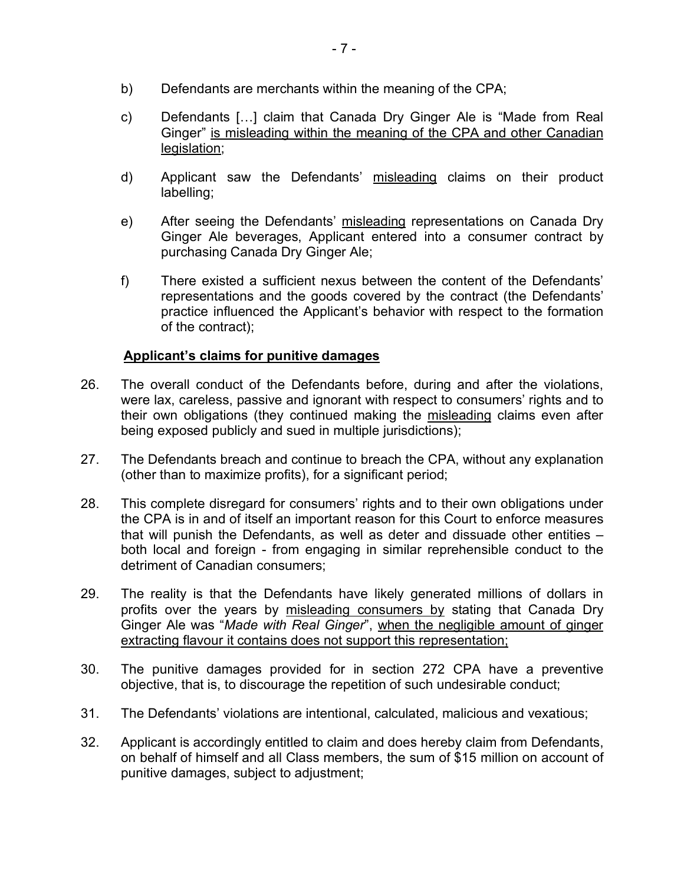- b) Defendants are merchants within the meaning of the CPA;
- c) Defendants […] claim that Canada Dry Ginger Ale is "Made from Real Ginger" is misleading within the meaning of the CPA and other Canadian legislation;
- d) Applicant saw the Defendants' misleading claims on their product labelling;
- e) After seeing the Defendants' misleading representations on Canada Dry Ginger Ale beverages, Applicant entered into a consumer contract by purchasing Canada Dry Ginger Ale;
- f) There existed a sufficient nexus between the content of the Defendants' representations and the goods covered by the contract (the Defendants' practice influenced the Applicant's behavior with respect to the formation of the contract);

# **Applicant's claims for punitive damages**

- 26. The overall conduct of the Defendants before, during and after the violations, were lax, careless, passive and ignorant with respect to consumers' rights and to their own obligations (they continued making the misleading claims even after being exposed publicly and sued in multiple jurisdictions);
- 27. The Defendants breach and continue to breach the CPA, without any explanation (other than to maximize profits), for a significant period;
- 28. This complete disregard for consumers' rights and to their own obligations under the CPA is in and of itself an important reason for this Court to enforce measures that will punish the Defendants, as well as deter and dissuade other entities – both local and foreign - from engaging in similar reprehensible conduct to the detriment of Canadian consumers;
- 29. The reality is that the Defendants have likely generated millions of dollars in profits over the years by misleading consumers by stating that Canada Dry Ginger Ale was "*Made with Real Ginger*", when the negligible amount of ginger extracting flavour it contains does not support this representation;
- 30. The punitive damages provided for in section 272 CPA have a preventive objective, that is, to discourage the repetition of such undesirable conduct;
- 31. The Defendants' violations are intentional, calculated, malicious and vexatious;
- 32. Applicant is accordingly entitled to claim and does hereby claim from Defendants, on behalf of himself and all Class members, the sum of \$15 million on account of punitive damages, subject to adjustment;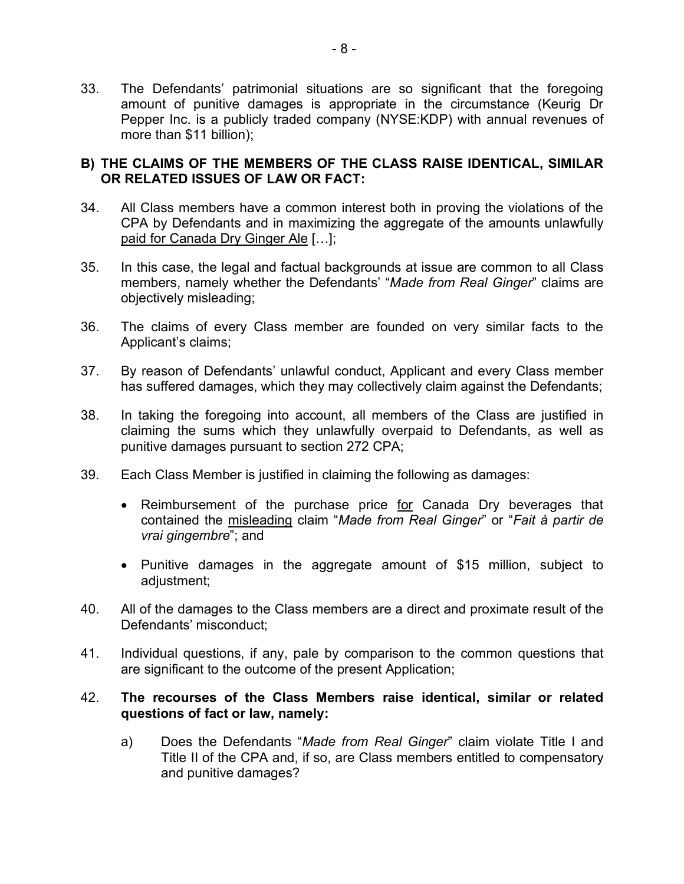33. The Defendants' patrimonial situations are so significant that the foregoing amount of punitive damages is appropriate in the circumstance (Keurig Dr Pepper Inc. is a publicly traded company (NYSE:KDP) with annual revenues of more than \$11 billion);

# **B) THE CLAIMS OF THE MEMBERS OF THE CLASS RAISE IDENTICAL, SIMILAR OR RELATED ISSUES OF LAW OR FACT:**

- 34. All Class members have a common interest both in proving the violations of the CPA by Defendants and in maximizing the aggregate of the amounts unlawfully paid for Canada Dry Ginger Ale […];
- 35. In this case, the legal and factual backgrounds at issue are common to all Class members, namely whether the Defendants' "*Made from Real Ginger*" claims are objectively misleading;
- 36. The claims of every Class member are founded on very similar facts to the Applicant's claims;
- 37. By reason of Defendants' unlawful conduct, Applicant and every Class member has suffered damages, which they may collectively claim against the Defendants;
- 38. In taking the foregoing into account, all members of the Class are justified in claiming the sums which they unlawfully overpaid to Defendants, as well as punitive damages pursuant to section 272 CPA;
- 39. Each Class Member is justified in claiming the following as damages:
	- Reimbursement of the purchase price for Canada Dry beverages that contained the misleading claim "*Made from Real Ginger*" or "*Fait à partir de vrai gingembre*"; and
	- Punitive damages in the aggregate amount of \$15 million, subject to adjustment;
- 40. All of the damages to the Class members are a direct and proximate result of the Defendants' misconduct;
- 41. Individual questions, if any, pale by comparison to the common questions that are significant to the outcome of the present Application;

# 42. **The recourses of the Class Members raise identical, similar or related questions of fact or law, namely:**

a) Does the Defendants "*Made from Real Ginger*" claim violate Title I and Title II of the CPA and, if so, are Class members entitled to compensatory and punitive damages?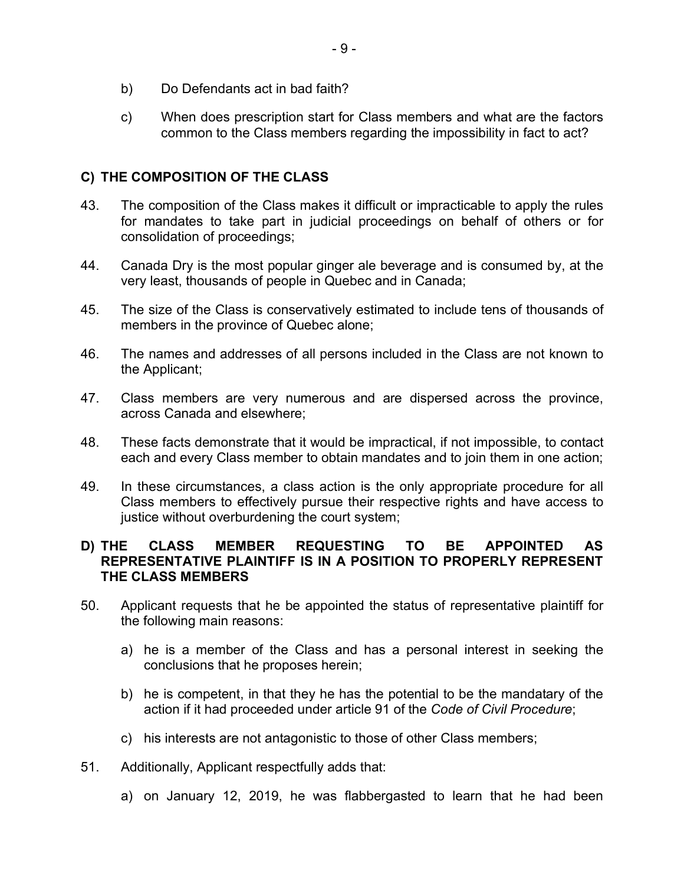- b) Do Defendants act in bad faith?
- c) When does prescription start for Class members and what are the factors common to the Class members regarding the impossibility in fact to act?

# **C) THE COMPOSITION OF THE CLASS**

- 43. The composition of the Class makes it difficult or impracticable to apply the rules for mandates to take part in judicial proceedings on behalf of others or for consolidation of proceedings;
- 44. Canada Dry is the most popular ginger ale beverage and is consumed by, at the very least, thousands of people in Quebec and in Canada;
- 45. The size of the Class is conservatively estimated to include tens of thousands of members in the province of Quebec alone;
- 46. The names and addresses of all persons included in the Class are not known to the Applicant;
- 47. Class members are very numerous and are dispersed across the province, across Canada and elsewhere;
- 48. These facts demonstrate that it would be impractical, if not impossible, to contact each and every Class member to obtain mandates and to join them in one action;
- 49. In these circumstances, a class action is the only appropriate procedure for all Class members to effectively pursue their respective rights and have access to justice without overburdening the court system;

# **D) THE CLASS MEMBER REQUESTING TO BE APPOINTED AS REPRESENTATIVE PLAINTIFF IS IN A POSITION TO PROPERLY REPRESENT THE CLASS MEMBERS**

- 50. Applicant requests that he be appointed the status of representative plaintiff for the following main reasons:
	- a) he is a member of the Class and has a personal interest in seeking the conclusions that he proposes herein;
	- b) he is competent, in that they he has the potential to be the mandatary of the action if it had proceeded under article 91 of the *Code of Civil Procedure*;
	- c) his interests are not antagonistic to those of other Class members;
- 51. Additionally, Applicant respectfully adds that:
	- a) on January 12, 2019, he was flabbergasted to learn that he had been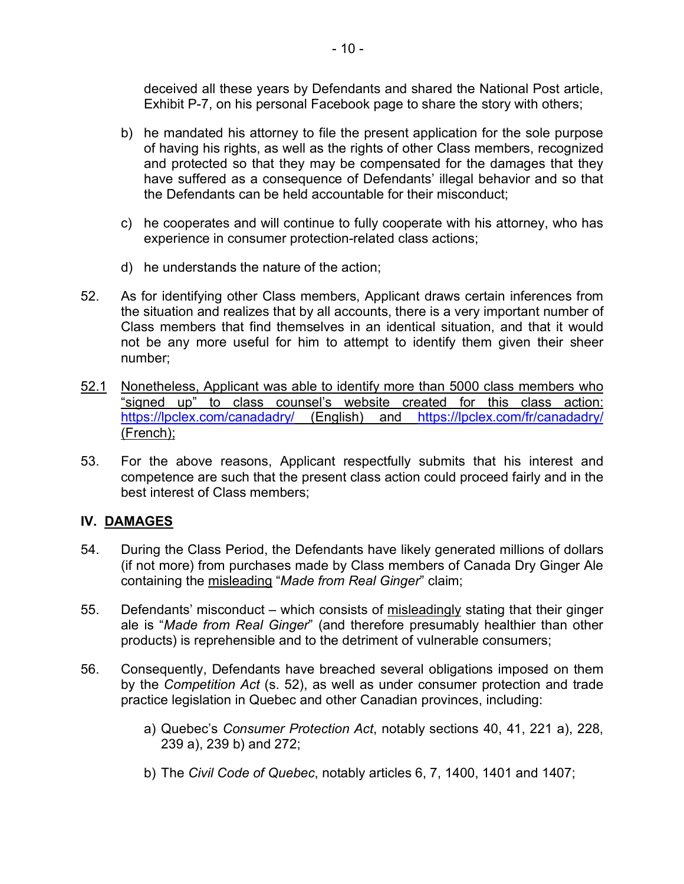deceived all these years by Defendants and shared the National Post article, Exhibit P-7, on his personal Facebook page to share the story with others;

- b) he mandated his attorney to file the present application for the sole purpose of having his rights, as well as the rights of other Class members, recognized and protected so that they may be compensated for the damages that they have suffered as a consequence of Defendants' illegal behavior and so that the Defendants can be held accountable for their misconduct;
- c) he cooperates and will continue to fully cooperate with his attorney, who has experience in consumer protection-related class actions;
- d) he understands the nature of the action;
- 52. As for identifying other Class members, Applicant draws certain inferences from the situation and realizes that by all accounts, there is a very important number of Class members that find themselves in an identical situation, and that it would not be any more useful for him to attempt to identify them given their sheer number;
- 52.1 Nonetheless, Applicant was able to identify more than 5000 class members who "signed up" to class counsel's website created for this class action: https://lpclex.com/canadadry/ (English) and https://lpclex.com/fr/canadadry/ (French);
- 53. For the above reasons, Applicant respectfully submits that his interest and competence are such that the present class action could proceed fairly and in the best interest of Class members;

# **IV. DAMAGES**

- 54. During the Class Period, the Defendants have likely generated millions of dollars (if not more) from purchases made by Class members of Canada Dry Ginger Ale containing the misleading "*Made from Real Ginger*" claim;
- 55. Defendants' misconduct which consists of misleadingly stating that their ginger ale is "*Made from Real Ginger*" (and therefore presumably healthier than other products) is reprehensible and to the detriment of vulnerable consumers;
- 56. Consequently, Defendants have breached several obligations imposed on them by the *Competition Act* (s. 52), as well as under consumer protection and trade practice legislation in Quebec and other Canadian provinces, including:
	- a) Quebec's *Consumer Protection Act*, notably sections 40, 41, 221 a), 228, 239 a), 239 b) and 272;
	- b) The *Civil Code of Quebec*, notably articles 6, 7, 1400, 1401 and 1407;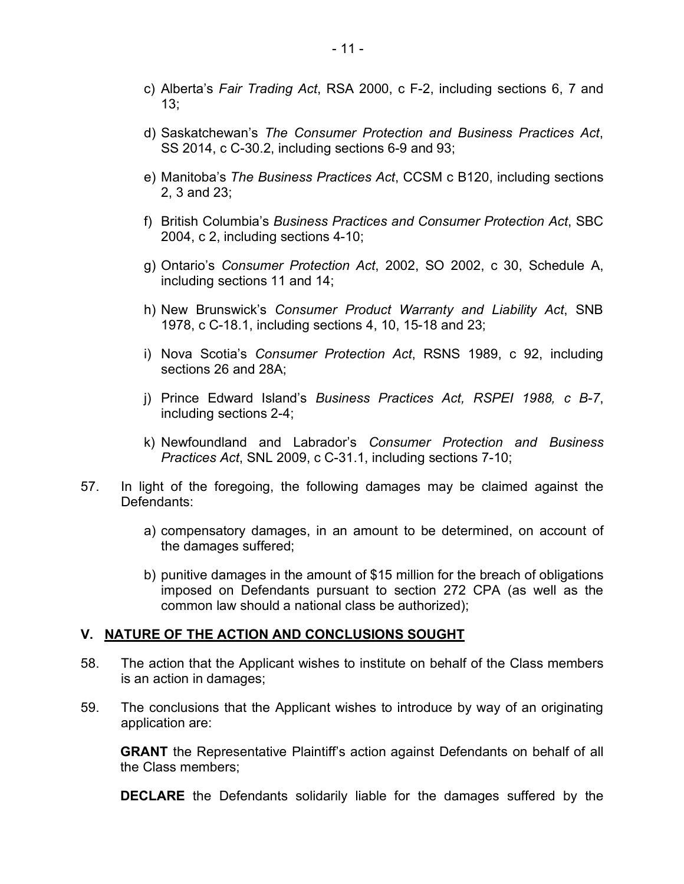- c) Alberta's *Fair Trading Act*, RSA 2000, c F-2, including sections 6, 7 and 13;
- d) Saskatchewan's *The Consumer Protection and Business Practices Act*, SS 2014, c C-30.2, including sections 6-9 and 93;
- e) Manitoba's *The Business Practices Act*, CCSM c B120, including sections 2, 3 and 23;
- f) British Columbia's *Business Practices and Consumer Protection Act*, SBC 2004, c 2, including sections 4-10;
- g) Ontario's *Consumer Protection Act*, 2002, SO 2002, c 30, Schedule A, including sections 11 and 14;
- h) New Brunswick's *Consumer Product Warranty and Liability Act*, SNB 1978, c C-18.1, including sections 4, 10, 15-18 and 23;
- i) Nova Scotia's *Consumer Protection Act*, RSNS 1989, c 92, including sections 26 and 28A;
- j) Prince Edward Island's *Business Practices Act, RSPEI 1988, c B-7*, including sections 2-4;
- k) Newfoundland and Labrador's *Consumer Protection and Business Practices Act*, SNL 2009, c C-31.1, including sections 7-10;
- 57. In light of the foregoing, the following damages may be claimed against the Defendants:
	- a) compensatory damages, in an amount to be determined, on account of the damages suffered;
	- b) punitive damages in the amount of \$15 million for the breach of obligations imposed on Defendants pursuant to section 272 CPA (as well as the common law should a national class be authorized);

#### **V. NATURE OF THE ACTION AND CONCLUSIONS SOUGHT**

- 58. The action that the Applicant wishes to institute on behalf of the Class members is an action in damages;
- 59. The conclusions that the Applicant wishes to introduce by way of an originating application are:

**GRANT** the Representative Plaintiff's action against Defendants on behalf of all the Class members;

**DECLARE** the Defendants solidarily liable for the damages suffered by the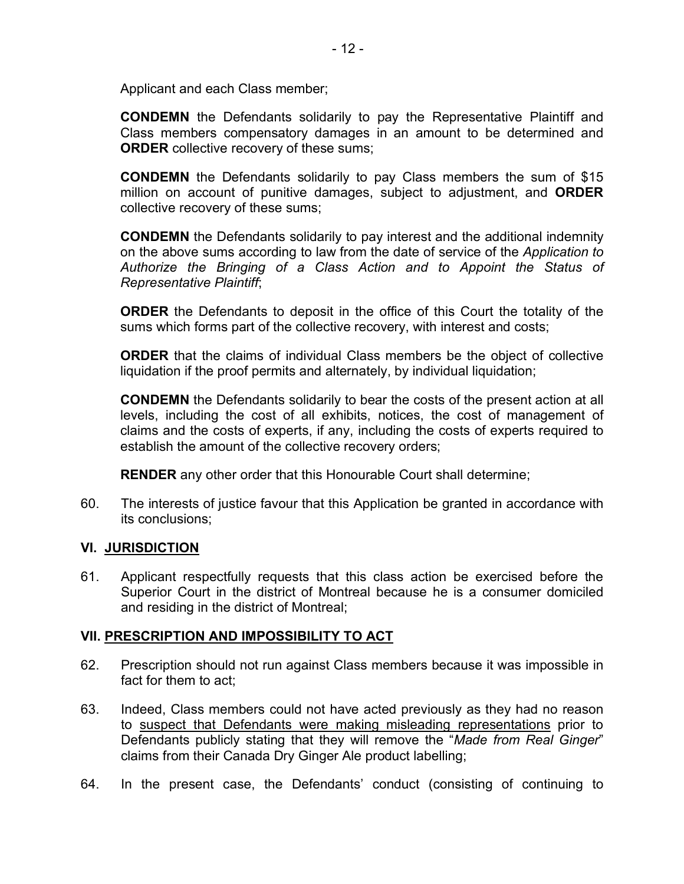Applicant and each Class member;

**CONDEMN** the Defendants solidarily to pay the Representative Plaintiff and Class members compensatory damages in an amount to be determined and **ORDER** collective recovery of these sums;

**CONDEMN** the Defendants solidarily to pay Class members the sum of \$15 million on account of punitive damages, subject to adjustment, and **ORDER** collective recovery of these sums;

**CONDEMN** the Defendants solidarily to pay interest and the additional indemnity on the above sums according to law from the date of service of the *Application to Authorize the Bringing of a Class Action and to Appoint the Status of Representative Plaintiff*;

**ORDER** the Defendants to deposit in the office of this Court the totality of the sums which forms part of the collective recovery, with interest and costs;

**ORDER** that the claims of individual Class members be the object of collective liquidation if the proof permits and alternately, by individual liquidation;

**CONDEMN** the Defendants solidarily to bear the costs of the present action at all levels, including the cost of all exhibits, notices, the cost of management of claims and the costs of experts, if any, including the costs of experts required to establish the amount of the collective recovery orders;

**RENDER** any other order that this Honourable Court shall determine;

60. The interests of justice favour that this Application be granted in accordance with its conclusions;

# **VI. JURISDICTION**

61. Applicant respectfully requests that this class action be exercised before the Superior Court in the district of Montreal because he is a consumer domiciled and residing in the district of Montreal;

# **VII. PRESCRIPTION AND IMPOSSIBILITY TO ACT**

- 62. Prescription should not run against Class members because it was impossible in fact for them to act;
- 63. Indeed, Class members could not have acted previously as they had no reason to suspect that Defendants were making misleading representations prior to Defendants publicly stating that they will remove the "*Made from Real Ginger*" claims from their Canada Dry Ginger Ale product labelling;
- 64. In the present case, the Defendants' conduct (consisting of continuing to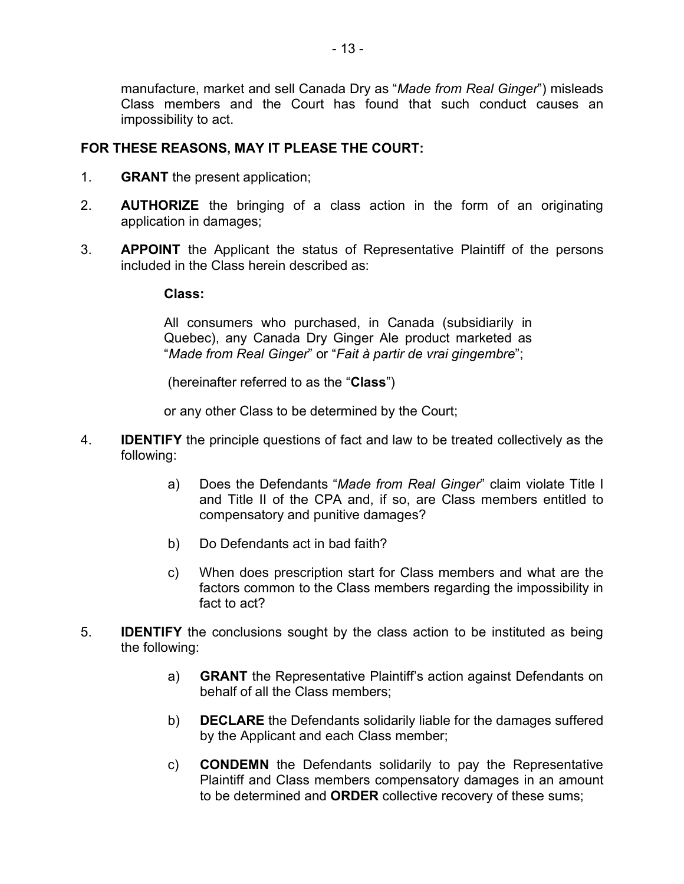manufacture, market and sell Canada Dry as "*Made from Real Ginger*") misleads Class members and the Court has found that such conduct causes an impossibility to act.

# **FOR THESE REASONS, MAY IT PLEASE THE COURT:**

- 1. **GRANT** the present application;
- 2. **AUTHORIZE** the bringing of a class action in the form of an originating application in damages;
- 3. **APPOINT** the Applicant the status of Representative Plaintiff of the persons included in the Class herein described as:

#### **Class:**

All consumers who purchased, in Canada (subsidiarily in Quebec), any Canada Dry Ginger Ale product marketed as "*Made from Real Ginger*" or "*Fait à partir de vrai gingembre*";

(hereinafter referred to as the "**Class**")

or any other Class to be determined by the Court;

- 4. **IDENTIFY** the principle questions of fact and law to be treated collectively as the following:
	- a) Does the Defendants "*Made from Real Ginger*" claim violate Title I and Title II of the CPA and, if so, are Class members entitled to compensatory and punitive damages?
	- b) Do Defendants act in bad faith?
	- c) When does prescription start for Class members and what are the factors common to the Class members regarding the impossibility in fact to act?
- 5. **IDENTIFY** the conclusions sought by the class action to be instituted as being the following:
	- a) **GRANT** the Representative Plaintiff's action against Defendants on behalf of all the Class members;
	- b) **DECLARE** the Defendants solidarily liable for the damages suffered by the Applicant and each Class member;
	- c) **CONDEMN** the Defendants solidarily to pay the Representative Plaintiff and Class members compensatory damages in an amount to be determined and **ORDER** collective recovery of these sums;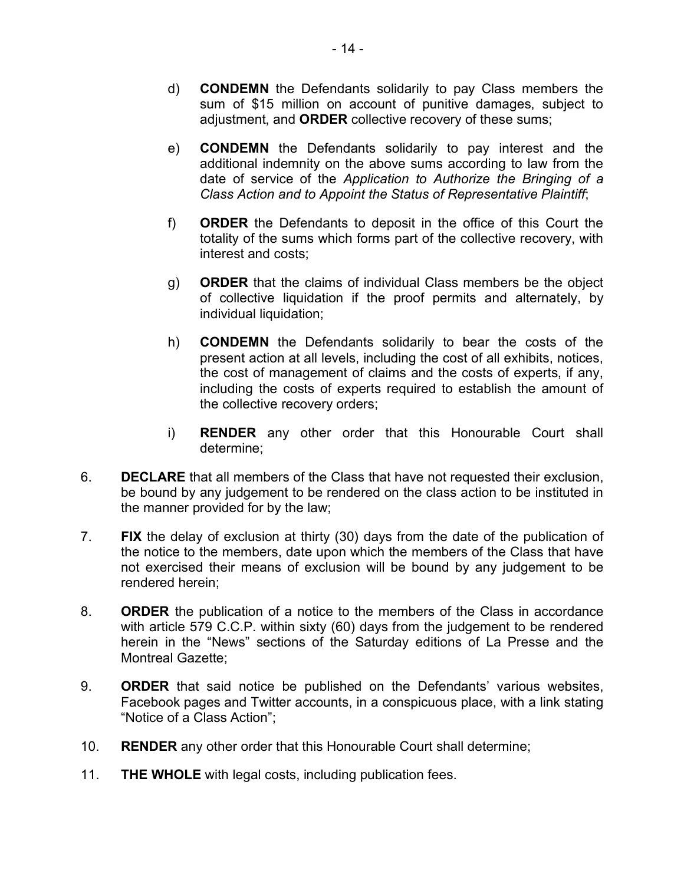- d) **CONDEMN** the Defendants solidarily to pay Class members the sum of \$15 million on account of punitive damages, subject to adjustment, and **ORDER** collective recovery of these sums;
- e) **CONDEMN** the Defendants solidarily to pay interest and the additional indemnity on the above sums according to law from the date of service of the *Application to Authorize the Bringing of a Class Action and to Appoint the Status of Representative Plaintiff*;
- f) **ORDER** the Defendants to deposit in the office of this Court the totality of the sums which forms part of the collective recovery, with interest and costs;
- g) **ORDER** that the claims of individual Class members be the object of collective liquidation if the proof permits and alternately, by individual liquidation;
- h) **CONDEMN** the Defendants solidarily to bear the costs of the present action at all levels, including the cost of all exhibits, notices, the cost of management of claims and the costs of experts, if any, including the costs of experts required to establish the amount of the collective recovery orders;
- i) **RENDER** any other order that this Honourable Court shall determine;
- 6. **DECLARE** that all members of the Class that have not requested their exclusion, be bound by any judgement to be rendered on the class action to be instituted in the manner provided for by the law;
- 7. **FIX** the delay of exclusion at thirty (30) days from the date of the publication of the notice to the members, date upon which the members of the Class that have not exercised their means of exclusion will be bound by any judgement to be rendered herein;
- 8. **ORDER** the publication of a notice to the members of the Class in accordance with article 579 C.C.P. within sixty (60) days from the judgement to be rendered herein in the "News" sections of the Saturday editions of La Presse and the Montreal Gazette;
- 9. **ORDER** that said notice be published on the Defendants' various websites, Facebook pages and Twitter accounts, in a conspicuous place, with a link stating "Notice of a Class Action";
- 10. **RENDER** any other order that this Honourable Court shall determine;
- 11. **THE WHOLE** with legal costs, including publication fees.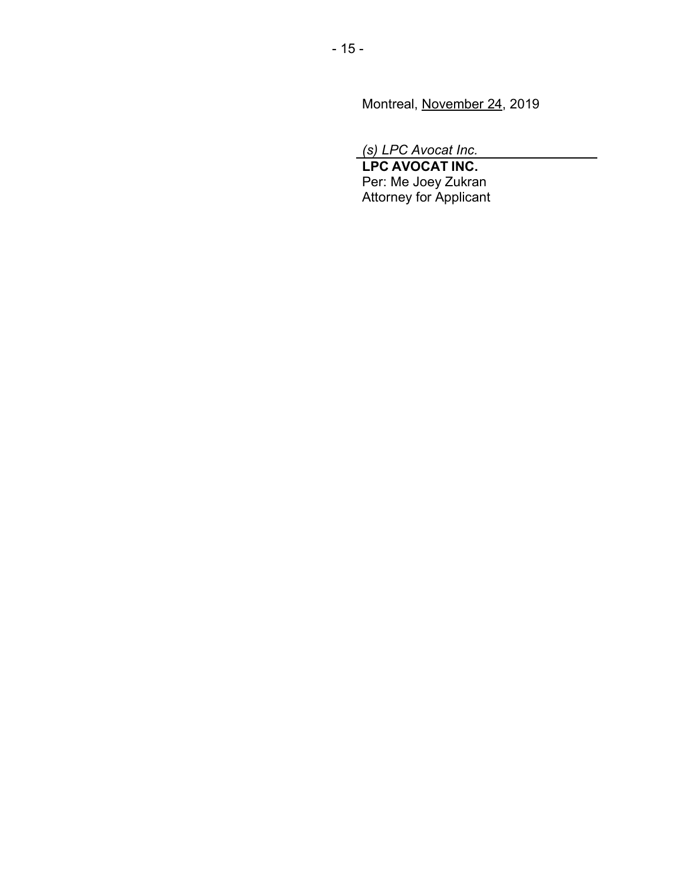Montreal, November 24, 2019

*(s) LPC Avocat Inc.*

**LPC AVOCAT INC.** Per: Me Joey Zukran Attorney for Applicant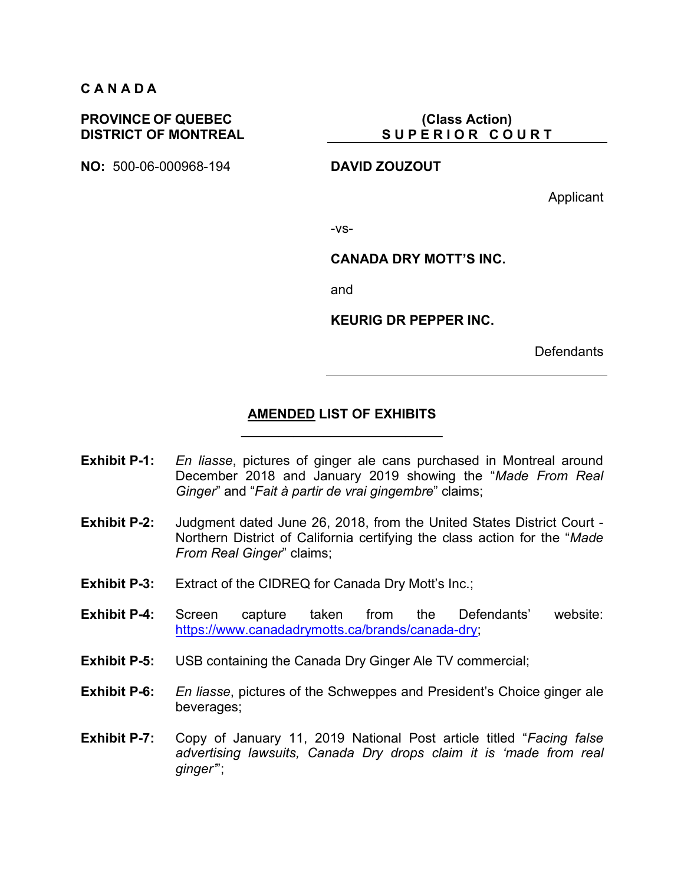# **C A N A D A**

#### **PROVINCE OF QUEBEC DISTRICT OF MONTREAL**

**NO:** 500-06-000968-194 **DAVID ZOUZOUT**

**(Class Action) S U P E R I O R C O U R T** 

Applicant

-vs-

#### **CANADA DRY MOTT'S INC.**

and

**KEURIG DR PEPPER INC.**

**Defendants** 

#### **AMENDED LIST OF EXHIBITS**  $\mathcal{L}_\text{max}$  and  $\mathcal{L}_\text{max}$  and  $\mathcal{L}_\text{max}$  and  $\mathcal{L}_\text{max}$

- **Exhibit P-1:** *En liasse*, pictures of ginger ale cans purchased in Montreal around December 2018 and January 2019 showing the "*Made From Real Ginger*" and "*Fait à partir de vrai gingembre*" claims;
- **Exhibit P-2:** Judgment dated June 26, 2018, from the United States District Court Northern District of California certifying the class action for the "*Made From Real Ginger*" claims;
- **Exhibit P-3:** Extract of the CIDREQ for Canada Dry Mott's Inc.;
- **Exhibit P-4:** Screen capture taken from the Defendants' website: https://www.canadadrymotts.ca/brands/canada-dry;
- **Exhibit P-5:** USB containing the Canada Dry Ginger Ale TV commercial;
- **Exhibit P-6:** *En liasse*, pictures of the Schweppes and President's Choice ginger ale beverages;
- **Exhibit P-7:** Copy of January 11, 2019 National Post article titled "*Facing false advertising lawsuits, Canada Dry drops claim it is 'made from real ginger'*";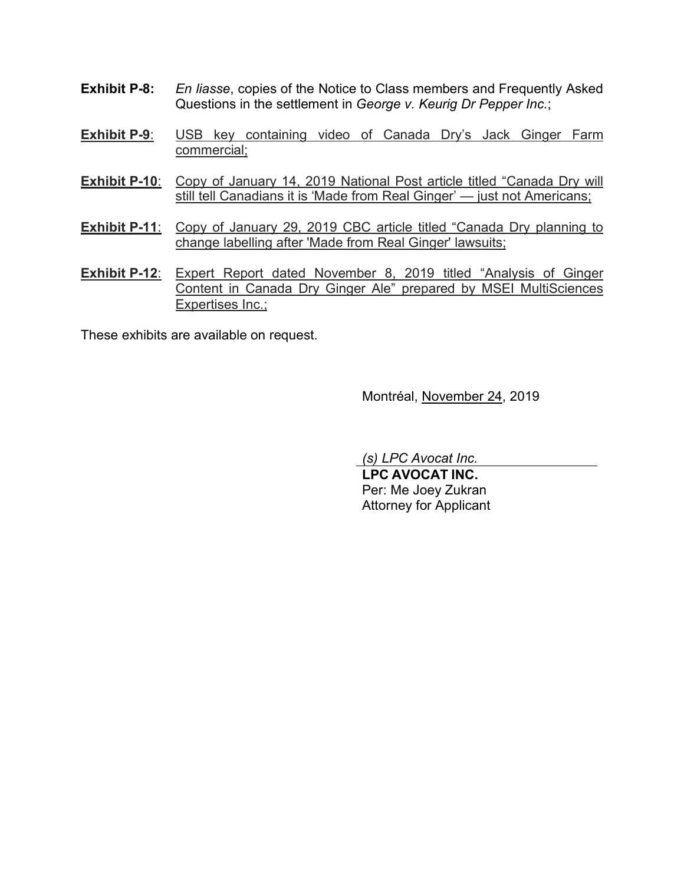- **Exhibit P-8:** *En liasse*, copies of the Notice to Class members and Frequently Asked Questions in the settlement in *George v. Keurig Dr Pepper Inc.*;
- **Exhibit P-9**: USB key containing video of Canada Dry's Jack Ginger Farm commercial;
- **Exhibit P-10:** Copy of January 14, 2019 National Post article titled "Canada Dry will still tell Canadians it is 'Made from Real Ginger' — just not Americans;
- **Exhibit P-11:** Copy of January 29, 2019 CBC article titled "Canada Dry planning to change labelling after 'Made from Real Ginger' lawsuits;
- **Exhibit P-12**: Expert Report dated November 8, 2019 titled "Analysis of Ginger Content in Canada Dry Ginger Ale" prepared by MSEI MultiSciences Expertises Inc.;

These exhibits are available on request.

Montréal, November 24, 2019

*(s) LPC Avocat Inc.*

**LPC AVOCAT INC.** Per: Me Joey Zukran Attorney for Applicant